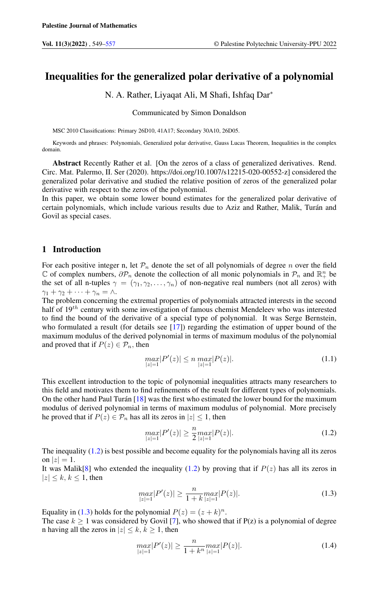# Inequalities for the generalized polar derivative of a polynomial

N. A. Rather, Liyaqat Ali, M Shafi, Ishfaq Dar<sup>∗</sup>

Communicated by Simon Donaldson

MSC 2010 Classifications: Primary 26D10, 41A17; Secondary 30A10, 26D05.

Keywords and phrases: Polynomials, Generalized polar derivative, Gauss Lucas Theorem, Inequalities in the complex domain.

Abstract Recently Rather et al. [On the zeros of a class of generalized derivatives. Rend. Circ. Mat. Palermo, II. Ser (2020). https://doi.org/10.1007/s12215-020-00552-z] considered the generalized polar derivative and studied the relative position of zeros of the generalized polar derivative with respect to the zeros of the polynomial.

In this paper, we obtain some lower bound estimates for the generalized polar derivative of certain polynomials, which include various results due to Aziz and Rather, Malik, Turán and Govil as special cases.

### 1 Introduction

For each positive integer n, let  $\mathcal{P}_n$  denote the set of all polynomials of degree n over the field  $\mathbb C$  of complex numbers,  $\partial \mathcal P_n$  denote the collection of all monic polynomials in  $\mathcal P_n$  and  $\mathbb R_+^n$  be the set of all n-tuples  $\gamma = (\gamma_1, \gamma_2, \dots, \gamma_n)$  of non-negative real numbers (not all zeros) with  $\gamma_1 + \gamma_2 + \cdots + \gamma_n = \wedge$ .

The problem concerning the extremal properties of polynomials attracted interests in the second half of  $19<sup>th</sup>$  century with some investigation of famous chemist Mendeleev who was interested to find the bound of the derivative of a special type of polynomial. It was Serge Bernstein, who formulated a result (for details see [\[17\]](#page-8-0)) regarding the estimation of upper bound of the maximum modulus of the derived polynomial in terms of maximum modulus of the polynomial and proved that if  $P(z) \in \mathcal{P}_n$ , then

<span id="page-0-2"></span>
$$
\max_{|z|=1} |P'(z)| \le n \max_{|z|=1} |P(z)|. \tag{1.1}
$$

This excellent introduction to the topic of polynomial inequalities attracts many researchers to this field and motivates them to find refinements of the result for different types of polynomials. On the other hand Paul Turán [\[18\]](#page-8-1) was the first who estimated the lower bound for the maximum modulus of derived polynomial in terms of maximum modulus of polynomial. More precisely he proved that if  $P(z) \in \mathcal{P}_n$  has all its zeros in  $|z| \leq 1$ , then

<span id="page-0-0"></span>
$$
\max_{|z|=1} |P'(z)| \ge \frac{n}{2} \max_{|z|=1} |P(z)|. \tag{1.2}
$$

The inequality [\(1.2\)](#page-0-0) is best possible and become equality for the polynomials having all its zeros on  $|z|=1$ .

It was Malik[\[8\]](#page-7-1) who extended the inequality [\(1.2\)](#page-0-0) by proving that if  $P(z)$  has all its zeros in  $|z| \leq k, k \leq 1$ , then

<span id="page-0-1"></span>
$$
\max_{|z|=1} |P'(z)| \ge \frac{n}{1+k} \max_{|z|=1} |P(z)|. \tag{1.3}
$$

Equality in [\(1.3\)](#page-0-1) holds for the polynomial  $P(z) = (z + k)^n$ .

The case  $k \ge 1$  was considered by Govil [\[7\]](#page-7-2), who showed that if P(z) is a polynomial of degree n having all the zeros in  $|z| \leq k, k \geq 1$ , then

<span id="page-0-3"></span>
$$
\max_{|z|=1} |P'(z)| \ge \frac{n}{1+k^n} \max_{|z|=1} |P(z)|. \tag{1.4}
$$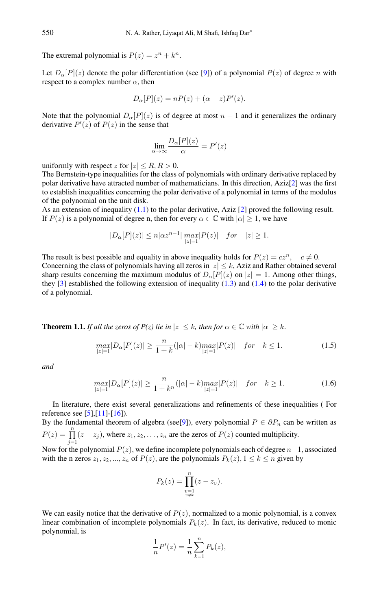The extremal polynomial is  $P(z) = z^n + k^n$ .

Let  $D_{\alpha}[P](z)$  denote the polar differentiation (see [\[9\]](#page-7-3)) of a polynomial  $P(z)$  of degree n with respect to a complex number  $\alpha$ , then

$$
D_{\alpha}[P](z) = nP(z) + (\alpha - z)P'(z).
$$

Note that the polynomial  $D_{\alpha}[P](z)$  is of degree at most  $n-1$  and it generalizes the ordinary derivative  $P'(z)$  of  $P(z)$  in the sense that

$$
\lim_{\alpha \to \infty} \frac{D_{\alpha}[P](z)}{\alpha} = P'(z)
$$

uniformly with respect z for  $|z| \le R$ ,  $R > 0$ .

The Bernstein-type inequalities for the class of polynomials with ordinary derivative replaced by polar derivative have attracted number of mathematicians. In this direction, Aziz[\[2\]](#page-7-4) was the first to establish inequalities concerning the polar derivative of a polynomial in terms of the modulus of the polynomial on the unit disk.

As an extension of inequality  $(1.1)$  to the polar derivative, Aziz [\[2\]](#page-7-4) proved the following result. If  $P(z)$  is a polynomial of degree n, then for every  $\alpha \in \mathbb{C}$  with  $|\alpha| \geq 1$ , we have

$$
|D_{\alpha}[P](z)| \le n |\alpha z^{n-1}| \max_{|z|=1} |P(z)| \quad for \quad |z| \ge 1.
$$

The result is best possible and equality in above inequality holds for  $P(z) = cz^n$ ,  $c \neq 0$ . Concerning the class of polynomials having all zeros in  $|z| \leq k$ , Aziz and Rather obtained several sharp results concerning the maximum modulus of  $D_{\alpha}[P](z)$  on  $|z| = 1$ . Among other things, they  $[3]$  established the following extension of inequality  $(1.3)$  and  $(1.4)$  to the polar derivative of a polynomial.

<span id="page-1-0"></span>**Theorem 1.1.** *If all the zeros of*  $P(z)$  *lie in*  $|z| \leq k$ *, then for*  $\alpha \in \mathbb{C}$  *with*  $|\alpha| \geq k$ *.* 

$$
\max_{|z|=1} |D_{\alpha}[P](z)| \ge \frac{n}{1+k} (|\alpha|-k) \max_{|z|=1} |P(z)| \quad \text{for} \quad k \le 1. \tag{1.5}
$$

*and*

$$
\max_{|z|=1} |D_{\alpha}[P](z)| \ge \frac{n}{1+k^n} (|\alpha|-k) \max_{|z|=1} |P(z)| \quad \text{for} \quad k \ge 1. \tag{1.6}
$$

In literature, there exist several generalizations and refinements of these inequalities ( For reference see [\[5\]](#page-7-6),[\[11\]](#page-7-7)-[\[16\]](#page-8-2)).

By the fundamental theorem of algebra (see[\[9\]](#page-7-3)), every polynomial  $P \in \partial P_n$  can be written as  $P(z) = \prod^{n}$  $\prod_{j=1} (z - z_j)$ , where  $z_1, z_2, \ldots, z_n$  are the zeros of  $P(z)$  counted multiplicity.

Now for the polynomial  $P(z)$ , we define incomplete polynomials each of degree  $n-1$ , associated with the n zeros  $z_1, z_2, ..., z_n$  of  $P(z)$ , are the polynomials  $P_k(z)$ ,  $1 \leq k \leq n$  given by

<span id="page-1-2"></span><span id="page-1-1"></span>
$$
P_k(z) = \prod_{\substack{v=1 \ v \neq k}}^n (z - z_v).
$$

We can easily notice that the derivative of  $P(z)$ , normalized to a monic polynomial, is a convex linear combination of incomplete polynomials  $P_k(z)$ . In fact, its derivative, reduced to monic polynomial, is

$$
\frac{1}{n}P'(z) = \frac{1}{n}\sum_{k=1}^{n} P_k(z),
$$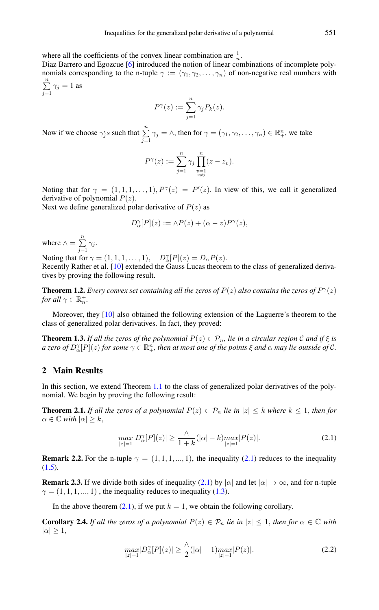where all the coefficients of the convex linear combination are  $\frac{1}{n}$ .

Diaz Barrero and Egozcue [\[6\]](#page-7-8) introduced the notion of linear combinations of incomplete polynomials corresponding to the n-tuple  $\gamma := (\gamma_1, \gamma_2, \dots, \gamma_n)$  of non-negative real numbers with  $\sum_{n=1}^{\infty}$  $\sum_{j=1}$   $\gamma_j = 1$  as

$$
P^{\gamma}(z) := \sum_{j=1}^{n} \gamma_j P_k(z).
$$

Now if we choose  $\gamma_j$ s such that  $\sum_{n=1}^{\infty}$  $\sum_{j=1}^{n} \gamma_j = \wedge$ , then for  $\gamma = (\gamma_1, \gamma_2, \dots, \gamma_n) \in \mathbb{R}^n_+$ , we take

$$
P^{\gamma}(z) := \sum_{j=1}^{n} \gamma_j \prod_{\substack{v=1 \ v \neq j}}^{n} (z - z_v).
$$

Noting that for  $\gamma = (1, 1, 1, \dots, 1), P^{\gamma}(z) = P'(z)$ . In view of this, we call it generalized derivative of polynomial  $P(z)$ .

Next we define generalized polar derivative of  $P(z)$  as

$$
D_{\alpha}^{\gamma}[P](z) := \wedge P(z) + (\alpha - z)P^{\gamma}(z),
$$

where  $\wedge = \sum^{n}$  $\sum_{j=1} \gamma_j$ .

Noting that for  $\gamma = (1, 1, 1, \dots, 1), \quad D_{\alpha}^{\gamma}[P](z) = D_{\alpha}P(z).$ 

Recently Rather et al. [\[10\]](#page-7-9) extended the Gauss Lucas theorem to the class of generalized derivatives by proving the following result.

**Theorem 1.2.** *Every convex set containing all the zeros of*  $P(z)$  *also contains the zeros of*  $P^{\gamma}(z)$ *for all*  $\gamma \in \mathbb{R}_n^+$ *.* 

Moreover, they [\[10\]](#page-7-9) also obtained the following extension of the Laguerre's theorem to the class of generalized polar derivatives. In fact, they proved:

**Theorem 1.3.** If all the zeros of the polynomial  $P(z) \in \mathcal{P}_n$ , lie in a circular region C and if  $\xi$  is *a zero of*  $D^{\gamma}_{\alpha}[P](z)$  *for some*  $\gamma \in \mathbb{R}^n_+$ *, then at most one of the points*  $\xi$  *and*  $\alpha$  *may lie outside of*  $\mathcal{C}$ *.* 

### 2 Main Results

In this section, we extend Theorem [1.1](#page-1-0) to the class of generalized polar derivatives of the polynomial. We begin by proving the following result:

<span id="page-2-1"></span>**Theorem 2.1.** *If all the zeros of a polynomial*  $P(z) \in \mathcal{P}_n$  *lie in*  $|z| \leq k$  *where*  $k \leq 1$ *, then for*  $\alpha \in \mathbb{C}$  *with*  $|\alpha| \geq k$ ,

<span id="page-2-0"></span>
$$
\max_{|z|=1} |D_{\alpha}^{\gamma}[P](z)| \ge \frac{\lambda}{1+k} (|\alpha|-k) \max_{|z|=1} |P(z)|. \tag{2.1}
$$

**Remark 2.2.** For the n-tuple  $\gamma = (1, 1, 1, ..., 1)$ , the inequality [\(2.1\)](#page-2-0) reduces to the inequality  $(1.5).$  $(1.5).$ 

**Remark 2.3.** If we divide both sides of inequality [\(2.1\)](#page-2-0) by | $\alpha$ | and let  $|\alpha| \to \infty$ , and for n-tuple  $\gamma = (1, 1, 1, \dots, 1)$ , the inequality reduces to inequality [\(1.3\)](#page-0-1).

In the above theorem  $(2.1)$ , if we put  $k = 1$ , we obtain the following corollary.

<span id="page-2-3"></span>**Corollary 2.4.** *If all the zeros of a polynomial*  $P(z) \in \mathcal{P}_n$  *lie in*  $|z| \leq 1$ *, then for*  $\alpha \in \mathbb{C}$  *with*  $|\alpha| \geq 1$ ,

<span id="page-2-2"></span>
$$
\max_{|z|=1} |D_{\alpha}^{\gamma}[P](z)| \ge \frac{\lambda}{2} (|\alpha|-1) \max_{|z|=1} |P(z)|. \tag{2.2}
$$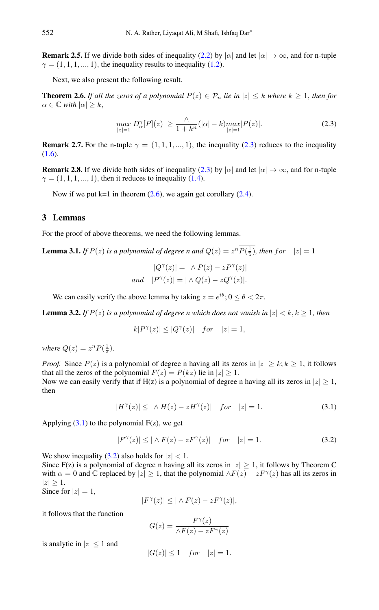**Remark 2.5.** If we divide both sides of inequality [\(2.2\)](#page-2-2) by | $\alpha$ | and let  $|\alpha| \to \infty$ , and for n-tuple  $\gamma = (1, 1, 1, \dots, 1)$ , the inequality results to inequality [\(1.2\)](#page-0-0).

Next, we also present the following result.

<span id="page-3-1"></span>**Theorem 2.6.** If all the zeros of a polynomial  $P(z) \in \mathcal{P}_n$  lie in  $|z| \leq k$  where  $k \geq 1$ , then for  $\alpha \in \mathbb{C}$  *with*  $|\alpha| > k$ ,

<span id="page-3-0"></span>
$$
\max_{|z|=1} |D_{\alpha}^{\gamma}[P](z)| \ge \frac{\wedge}{1+k^n} (|\alpha|-k) \max_{|z|=1} |P(z)|. \tag{2.3}
$$

**Remark 2.7.** For the n-tuple  $\gamma = (1, 1, 1, ..., 1)$ , the inequality [\(2.3\)](#page-3-0) reduces to the inequality [\(1.6\)](#page-1-2).

**Remark 2.8.** If we divide both sides of inequality [\(2.3\)](#page-3-0) by  $|\alpha|$  and let  $|\alpha| \to \infty$ , and for n-tuple  $\gamma = (1, 1, 1, \ldots, 1)$ , then it reduces to inequality [\(1.4\)](#page-0-3).

Now if we put  $k=1$  in theorem  $(2.6)$ , we again get corollary  $(2.4)$ .

### 3 Lemmas

For the proof of above theorems, we need the following lemmas.

<span id="page-3-4"></span>**Lemma 3.1.** *If*  $P(z)$  *is a polynomial of degree n and*  $Q(z) = z^n P(\frac{1}{z})$ *, then for*  $|z| = 1$ 

$$
|Q^{\gamma}(z)| = |\wedge P(z) - zP^{\gamma}(z)|
$$
  
and 
$$
|P^{\gamma}(z)| = |\wedge Q(z) - zQ^{\gamma}(z)|.
$$

We can easily verify the above lemma by taking  $z = e^{i\theta}$ ;  $0 \le \theta < 2\pi$ .

<span id="page-3-5"></span>**Lemma 3.2.** If  $P(z)$  is a polynomial of degree n which does not vanish in  $|z| < k, k \ge 1$ , then

<span id="page-3-2"></span>
$$
k|P^{\gamma}(z)| \le |Q^{\gamma}(z)| \quad for \quad |z| = 1,
$$

where  $Q(z) = z^n P(\frac{1}{\overline{z}})$ .

*Proof.* Since  $P(z)$  is a polynomial of degree n having all its zeros in  $|z| > k$ ;  $k > 1$ , it follows that all the zeros of the polynomial  $F(z) = P(kz)$  lie in  $|z| \geq 1$ . Now we can easily verify that if H(z) is a polynomial of degree n having all its zeros in  $|z| > 1$ , then

$$
|H^{\gamma}(z)| \le |\wedge H(z) - zH^{\gamma}(z)| \quad \text{for} \quad |z| = 1. \tag{3.1}
$$

Applying  $(3.1)$  to the polynomial  $F(z)$ , we get

$$
|F^{\gamma}(z)| \le |\wedge F(z) - zF^{\gamma}(z)| \quad \text{for} \quad |z| = 1. \tag{3.2}
$$

We show inequality [\(3.2\)](#page-3-3) also holds for  $|z| < 1$ . Since F(z) is a polynomial of degree n having all its zeros in  $|z| \geq 1$ , it follows by Theorem C with  $\alpha = 0$  and  $\mathbb C$  replaced by  $|z| \geq 1$ , that the polynomial  $\wedge F(z) - zF^{\gamma}(z)$  has all its zeros in  $|z| \geq 1$ . Since for  $|z|=1$ ,

<span id="page-3-3"></span>
$$
|F^{\gamma}(z)| \leq |\wedge F(z) - zF^{\gamma}(z)|,
$$

it follows that the function

$$
G(z) = \frac{F^{\gamma}(z)}{\wedge F(z) - zF^{\gamma}(z)}
$$

is analytic in  $|z| \leq 1$  and

$$
|G(z)| \le 1 \quad for \quad |z| = 1.
$$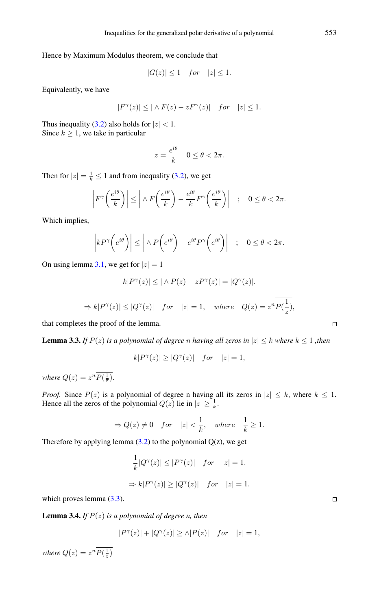Hence by Maximum Modulus theorem, we conclude that

$$
|G(z)| \le 1 \quad for \quad |z| \le 1.
$$

Equivalently, we have

$$
|F^{\gamma}(z)| \leq |\wedge F(z) - zF^{\gamma}(z)| \quad for \quad |z| \leq 1.
$$

Thus inequality [\(3.2\)](#page-3-3) also holds for  $|z| < 1$ . Since  $k \geq 1$ , we take in particular

$$
z = \frac{e^{i\theta}}{k} \quad 0 \le \theta < 2\pi.
$$

Then for  $|z| = \frac{1}{k} \le 1$  and from inequality [\(3.2\)](#page-3-3), we get

$$
\left| F^{\gamma}\left(\frac{e^{i\theta}}{k}\right) \right| \le \left| \wedge F\left(\frac{e^{i\theta}}{k}\right) - \frac{e^{i\theta}}{k} F^{\gamma}\left(\frac{e^{i\theta}}{k}\right) \right| \quad ; \quad 0 \le \theta < 2\pi.
$$

Which implies,

$$
\left| k P^{\gamma} \left( e^{i\theta} \right) \right| \le \left| \wedge P \left( e^{i\theta} \right) - e^{i\theta} P^{\gamma} \left( e^{i\theta} \right) \right| \quad ; \quad 0 \le \theta < 2\pi.
$$

On using lemma [3.1,](#page-3-4) we get for  $|z| = 1$ 

$$
k|P^{\gamma}(z)| \leq |\wedge P(z) - zP^{\gamma}(z)| = |Q^{\gamma}(z)|.
$$
  

$$
\Rightarrow k|P^{\gamma}(z)| \leq |Q^{\gamma}(z)| \quad \text{for} \quad |z| = 1, \quad \text{where} \quad Q(z) = z^{n} \overline{P(\frac{1}{z})},
$$

that completes the proof of the lemma.

<span id="page-4-0"></span>**Lemma 3.3.** *If*  $P(z)$  *is a polynomial of degree n having all zeros in*  $|z| \leq k$  *where*  $k \leq 1$  *, then* 

$$
k|P^{\gamma}(z)| \ge |Q^{\gamma}(z)| \quad for \quad |z| = 1,
$$

where  $Q(z) = z^n P(\frac{1}{\overline{z}})$ .

*Proof.* Since  $P(z)$  is a polynomial of degree n having all its zeros in  $|z| \leq k$ , where  $k \leq 1$ . Hence all the zeros of the polynomial  $Q(z)$  lie in  $|z| \geq \frac{1}{k}$ .

$$
\Rightarrow Q(z) \neq 0 \quad \text{for} \quad |z| < \frac{1}{k}, \quad \text{where} \quad \frac{1}{k} \ge 1.
$$

Therefore by applying lemma  $(3.2)$  to the polynomial  $Q(z)$ , we get

$$
\frac{1}{k}|Q^{\gamma}(z)| \le |P^{\gamma}(z)| \quad for \quad |z| = 1.
$$
  

$$
\Rightarrow k|P^{\gamma}(z)| \ge |Q^{\gamma}(z)| \quad for \quad |z| = 1.
$$

which proves lemma  $(3.3)$ .

<span id="page-4-1"></span>**Lemma 3.4.** *If*  $P(z)$  *is a polynomial of degree n, then* 

$$
|P^{\gamma}(z)|+|Q^{\gamma}(z)|\geq \wedge |P(z)| \quad for \quad |z|=1,
$$

where  $Q(z) = z^n P(\frac{1}{\overline{z}})$ 

 $\Box$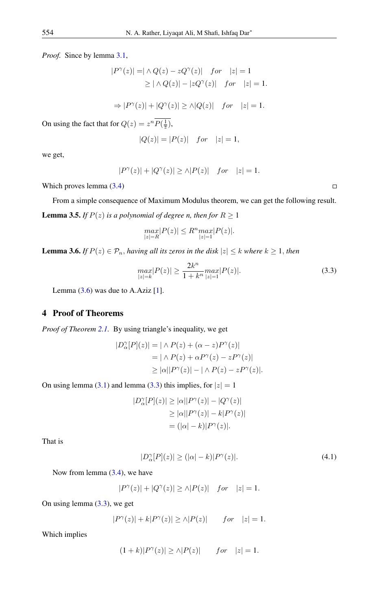*Proof.* Since by lemma [3.1,](#page-3-4)

$$
|P^{\gamma}(z)| = |\wedge Q(z) - zQ^{\gamma}(z)| \quad for \quad |z| = 1
$$
  
 
$$
\geq |\wedge Q(z)| - |zQ^{\gamma}(z)| \quad for \quad |z| = 1.
$$

$$
\Rightarrow |P^{\gamma}(z)| + |Q^{\gamma}(z)| \ge \wedge |Q(z)| \quad for \quad |z| = 1.
$$

On using the fact that for  $Q(z) = z^n P(\frac{1}{z}),$ 

$$
|Q(z)|=|P(z)| \quad for \quad |z|=1,
$$

we get,

$$
|P^{\gamma}(z)| + |Q^{\gamma}(z)| \ge \wedge |P(z)| \quad for \quad |z| = 1.
$$

Which proves lemma [\(3.4\)](#page-4-1)

<span id="page-5-2"></span>From a simple consequence of Maximum Modulus theorem, we can get the following result. **Lemma 3.5.** *If*  $P(z)$  *is a polynomial of degree n, then for*  $R \ge 1$ 

$$
\max_{|z|=R}|P(z)|\leq R^n\underset{|z|=1}{max}|P(z)|.
$$

<span id="page-5-0"></span>**Lemma 3.6.** *If*  $P(z) \in \mathcal{P}_n$ , *having all its zeros in the disk*  $|z| \leq k$  *where*  $k \geq 1$ *, then* 

$$
\max_{|z|=k} |P(z)| \ge \frac{2k^n}{1+k^n} \max_{|z|=1} |P(z)|. \tag{3.3}
$$

Lemma  $(3.6)$  was due to A.Aziz  $[1]$ .

## 4 Proof of Theorems

*Proof of Theorem [2.1.](#page-2-1)* By using triangle's inequality, we get

$$
|D_{\alpha}^{\gamma}[P](z)| = |\wedge P(z) + (\alpha - z)P^{\gamma}(z)|
$$
  
=  $|\wedge P(z) + \alpha P^{\gamma}(z) - zP^{\gamma}(z)|$   
 $\ge |\alpha||P^{\gamma}(z)| - |\wedge P(z) - zP^{\gamma}(z)|.$ 

On using lemma [\(3.1\)](#page-3-4) and lemma [\(3.3\)](#page-4-0) this implies, for  $|z| = 1$ 

$$
|D_{\alpha}^{\gamma}[P](z)| \ge |\alpha||P^{\gamma}(z)| - |Q^{\gamma}(z)|
$$
  
\n
$$
\ge |\alpha||P^{\gamma}(z)| - k|P^{\gamma}(z)|
$$
  
\n
$$
= (|\alpha| - k)|P^{\gamma}(z)|.
$$

That is

<span id="page-5-1"></span>
$$
|D_{\alpha}^{\gamma}[P](z)| \ge (|\alpha| - k)|P^{\gamma}(z)|. \tag{4.1}
$$

Now from lemma [\(3.4\)](#page-4-1), we have

 $($ 

$$
|P^{\gamma}(z)| + |Q^{\gamma}(z)| \ge \wedge |P(z)| \quad for \quad |z| = 1.
$$

On using lemma [\(3.3\)](#page-4-0), we get

$$
|P^{\gamma}(z)| + k|P^{\gamma}(z)| \ge \wedge |P(z)| \qquad for \quad |z| = 1.
$$

Which implies

$$
1+k||P^{\gamma}(z)| \ge \wedge |P(z)| \qquad for \quad |z|=1.
$$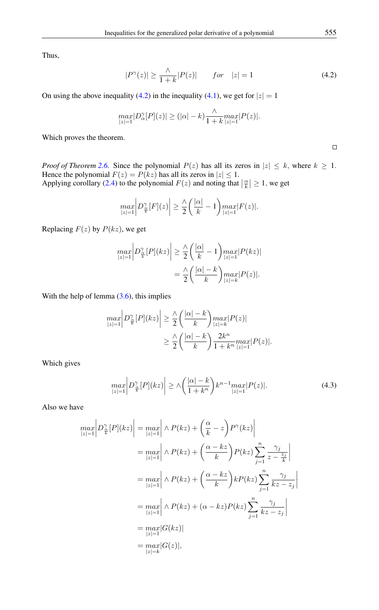Thus,

<span id="page-6-0"></span>
$$
|P^{\gamma}(z)| \ge \frac{\wedge}{1+k}|P(z)| \qquad for \quad |z| = 1 \tag{4.2}
$$

On using the above inequality [\(4.2\)](#page-6-0) in the inequality [\(4.1\)](#page-5-1), we get for  $|z| = 1$ 

$$
\max_{|z|=1} |D_{\alpha}^{\gamma}[P](z)| \ge (|\alpha|-k) \frac{\wedge}{1+k} \max_{|z|=1} |P(z)|.
$$

Which proves the theorem.

*Proof of Theorem* [2.6.](#page-3-1) Since the polynomial  $P(z)$  has all its zeros in  $|z| \leq k$ , where  $k \geq 1$ . Hence the polynomial  $F(z) = P(kz)$  has all its zeros in  $|z| \leq 1$ .

Applying corollary [\(2.4\)](#page-2-3) to the polynomial  $F(z)$  and noting that  $\left|\frac{\alpha}{k}\right| \geq 1$ , we get

$$
\max_{|z|=1} \left| D^{\gamma}_{\frac{\alpha}{k}}[F](z) \right| \geq \frac{\wedge}{2} \left( \frac{|\alpha|}{k} - 1 \right) \max_{|z|=1} |F(z)|.
$$

Replacing  $F(z)$  by  $P(kz)$ , we get

$$
\max_{|z|=1} \left| D^{\gamma}_{\frac{\alpha}{k}}[P](kz) \right| \geq \frac{\lambda}{2} \left( \frac{|\alpha|}{k} - 1 \right) \max_{|z|=1} |P(kz)|
$$

$$
= \frac{\lambda}{2} \left( \frac{|\alpha|-k}{k} \right) \max_{|z|=k} |P(z)|.
$$

With the help of lemma  $(3.6)$ , this implies

$$
\max_{|z|=1} \left| D_{\frac{\alpha}{k}}^{\gamma} [P](kz) \right| \geq \frac{\lambda}{2} \left( \frac{|\alpha| - k}{k} \right) \max_{|z| = k} |P(z)|
$$
  

$$
\geq \frac{\lambda}{2} \left( \frac{|\alpha| - k}{k} \right) \frac{2k^n}{1 + k^n} \max_{|z| = 1} |P(z)|.
$$

Which gives

<span id="page-6-1"></span>
$$
\max_{|z|=1} \left| D_{\frac{\alpha}{k}}^{\gamma} [P](kz) \right| \ge \Lambda \left( \frac{|\alpha|-k}{1+k^n} \right) k^{n-1} \max_{|z|=1} |P(z)|. \tag{4.3}
$$

Also we have

$$
\max_{|z|=1} \left| D^{\gamma}_{\frac{\alpha}{k}}[P](kz) \right| = \max_{|z|=1} \left| \wedge P(kz) + \left(\frac{\alpha}{k} - z\right) P^{\gamma}(kz) \right|
$$
  
\n
$$
= \max_{|z|=1} \left| \wedge P(kz) + \left(\frac{\alpha - kz}{k}\right) P(kz) \sum_{j=1}^{n} \frac{\gamma_j}{z - \frac{z_j}{k}} \right|
$$
  
\n
$$
= \max_{|z|=1} \left| \wedge P(kz) + \left(\frac{\alpha - kz}{k}\right) k P(kz) \sum_{j=1}^{n} \frac{\gamma_j}{kz - z_j} \right|
$$
  
\n
$$
= \max_{|z|=1} \left| \wedge P(kz) + (\alpha - kz) P(kz) \sum_{j=1}^{n} \frac{\gamma_j}{kz - z_j} \right|
$$
  
\n
$$
= \max_{|z|=1} |G(kz)|
$$
  
\n
$$
= \max_{|z|=k} |G(z)|,
$$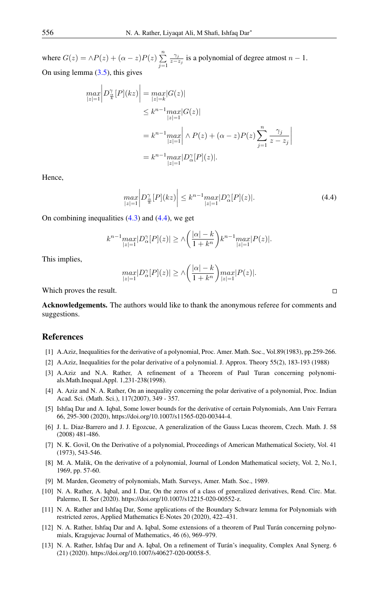where  $G(z) = \wedge P(z) + (\alpha - z)P(z) \sum_{n=1}^{\infty}$  $j=1$  $\gamma_j$  $\frac{\gamma_j}{z-z_j}$  is a polynomial of degree atmost  $n-1$ . On using lemma  $(3.5)$ , this gives

$$
\max_{|z|=1} \left| D_{\frac{\alpha}{k}}^{\gamma} [P](kz) \right| = \max_{|z|=k} |G(z)|
$$
  
\n
$$
\leq k^{n-1} \max_{|z|=1} |G(z)|
$$
  
\n
$$
= k^{n-1} \max_{|z|=1} \left| \wedge P(z) + (\alpha - z)P(z) \sum_{j=1}^{n} \frac{\gamma_j}{z - z_j} \right|
$$
  
\n
$$
= k^{n-1} \max_{|z|=1} |D_{\alpha}^{\gamma} [P](z)|.
$$

Hence,

<span id="page-7-11"></span>
$$
\max_{|z|=1} \left| D^{\gamma}_{\frac{\alpha}{k}}[P](kz) \right| \le k^{n-1} \max_{|z|=1} |D^{\gamma}_{\alpha}[P](z)|. \tag{4.4}
$$

On combining inequalities  $(4.3)$  and  $(4.4)$ , we get

$$
k^{n-1} \max_{|z|=1} |D_{\alpha}^{\gamma}[P](z)| \geq \Lambda \left(\frac{|\alpha|-k}{1+k^n}\right) k^{n-1} \max_{|z|=1} |P(z)|.
$$

This implies,

$$
\max_{|z|=1} |D_{\alpha}^{\gamma}[P](z)| \geq \lambda \bigg(\frac{|\alpha|-k}{1+k^n}\bigg) \max_{|z|=1} |P(z)|.
$$

Which proves the result.

Acknowledgements. The authors would like to thank the anonymous referee for comments and suggestions.

#### <span id="page-7-0"></span>References

- <span id="page-7-10"></span>[1] A.Aziz, Inequalities for the derivative of a polynomial, Proc. Amer. Math. Soc., Vol.89(1983), pp.259-266.
- <span id="page-7-4"></span>[2] A.Aziz, Inequalities for the polar derivative of a polynomial. J. Approx. Theory 55(2), 183-193 (1988)
- <span id="page-7-5"></span>[3] A.Aziz and N.A. Rather, A refinement of a Theorem of Paul Turan concerning polynomials.Math.Inequal.Appl. 1,231-238(1998).
- [4] A. Aziz and N. A. Rather, On an inequality concerning the polar derivative of a polynomial, Proc. Indian Acad. Sci. (Math. Sci.), 117(2007), 349 - 357.
- <span id="page-7-6"></span>[5] Ishfaq Dar and A. Iqbal, Some lower bounds for the derivative of certain Polynomials, Ann Univ Ferrara 66, 295-300 (2020), https://doi.org/10.1007/s11565-020-00344-4.
- <span id="page-7-8"></span>[6] J. L. Diaz-Barrero and J. J. Egozcue, A generalization of the Gauss Lucas theorem, Czech. Math. J. 58 (2008) 481-486.
- <span id="page-7-2"></span>[7] N. K. Govil, On the Derivative of a polynomial, Proceedings of American Mathematical Society, Vol. 41 (1973), 543-546.
- <span id="page-7-1"></span>[8] M. A. Malik, On the derivative of a polynomial, Journal of London Mathematical society, Vol. 2, No.1, 1969, pp. 57-60.
- <span id="page-7-3"></span>[9] M. Marden, Geometry of polynomials, Math. Surveys, Amer. Math. Soc., 1989.
- <span id="page-7-9"></span>[10] N. A. Rather, A. Iqbal, and I. Dar, On the zeros of a class of generalized derivatives, Rend. Circ. Mat. Palermo, II. Ser (2020). https://doi.org/10.1007/s12215-020-00552-z.
- <span id="page-7-7"></span>[11] N. A. Rather and Ishfaq Dar, Some applications of the Boundary Schwarz lemma for Polynomials with restricted zeros, Applied Mathematics E-Notes 20 (2020), 422–431.
- [12] N. A. Rather, Ishfaq Dar and A. Iqbal, Some extensions of a theorem of Paul Turán concerning polynomials, Kragujevac Journal of Mathematics, 46 (6), 969–979.
- [13] N. A. Rather, Ishfaq Dar and A. Iqbal, On a refinement of Turán's inequality, Complex Anal Synerg. 6 (21) (2020). https://doi.org/10.1007/s40627-020-00058-5.